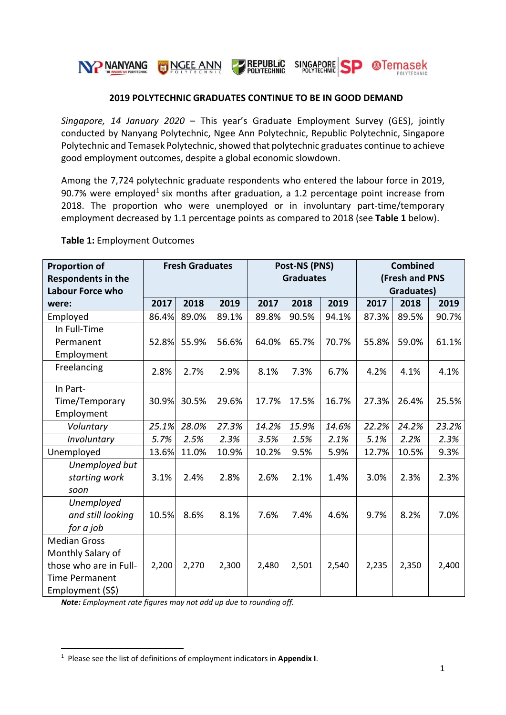

### **2019 POLYTECHNIC GRADUATES CONTINUE TO BE IN GOOD DEMAND**

*Singapore, 14 January 2020* – This year's Graduate Employment Survey (GES), jointly conducted by Nanyang Polytechnic, Ngee Ann Polytechnic, Republic Polytechnic, Singapore Polytechnic and Temasek Polytechnic, showed that polytechnic graduates continue to achieve good employment outcomes, despite a global economic slowdown.

Among the 7,724 polytechnic graduate respondents who entered the labour force in 2019, 90.7% were employed<sup>1</sup> six months after graduation, a 1.2 percentage point increase from 2018. The proportion who were unemployed or in involuntary part-time/temporary employment decreased by 1.1 percentage points as compared to 2018 (see **Table 1** below).

| <b>Proportion of</b><br><b>Respondents in the</b><br>Labour Force who | <b>Fresh Graduates</b> |       | Post-NS (PNS)<br><b>Graduates</b> |       |       | <b>Combined</b><br>(Fresh and PNS<br>Graduates) |         |       |       |
|-----------------------------------------------------------------------|------------------------|-------|-----------------------------------|-------|-------|-------------------------------------------------|---------|-------|-------|
| were:                                                                 | 2017                   | 2018  | 2019                              | 2017  | 2018  | 2019                                            | 2017    | 2018  | 2019  |
| Employed                                                              | 86.4%                  | 89.0% | 89.1%                             | 89.8% | 90.5% | 94.1%                                           | 87.3%   | 89.5% | 90.7% |
| In Full-Time                                                          |                        |       |                                   |       |       |                                                 |         |       |       |
| Permanent                                                             | 52.8%                  | 55.9% | 56.6%                             | 64.0% | 65.7% | 70.7%                                           | 55.8%   | 59.0% | 61.1% |
| Employment                                                            |                        |       |                                   |       |       |                                                 |         |       |       |
| Freelancing                                                           | 2.8%                   | 2.7%  | 2.9%                              | 8.1%  | 7.3%  | 6.7%                                            | 4.2%    | 4.1%  | 4.1%  |
| In Part-                                                              |                        |       |                                   |       |       |                                                 |         |       |       |
| Time/Temporary                                                        | 30.9%                  | 30.5% | 29.6%                             | 17.7% | 17.5% | 16.7%                                           | 27.3%   | 26.4% | 25.5% |
| Employment                                                            |                        |       |                                   |       |       |                                                 |         |       |       |
| Voluntary                                                             | 25.1%                  | 28.0% | 27.3%                             | 14.2% | 15.9% | 14.6%                                           | 22.2%   | 24.2% | 23.2% |
| Involuntary                                                           | 5.7%                   | 2.5%  | 2.3%                              | 3.5%  | 1.5%  | 2.1%                                            | $5.1\%$ | 2.2%  | 2.3%  |
| Unemployed                                                            | 13.6%                  | 11.0% | 10.9%                             | 10.2% | 9.5%  | 5.9%                                            | 12.7%   | 10.5% | 9.3%  |
| Unemployed but                                                        |                        |       |                                   |       |       |                                                 |         |       |       |
| starting work                                                         | 3.1%                   | 2.4%  | 2.8%                              | 2.6%  | 2.1%  | 1.4%                                            | 3.0%    | 2.3%  | 2.3%  |
| soon                                                                  |                        |       |                                   |       |       |                                                 |         |       |       |
| Unemployed                                                            |                        |       |                                   |       |       |                                                 |         |       |       |
| and still looking                                                     | 10.5%                  | 8.6%  | 8.1%                              | 7.6%  | 7.4%  | 4.6%                                            | 9.7%    | 8.2%  | 7.0%  |
| for a job                                                             |                        |       |                                   |       |       |                                                 |         |       |       |
| <b>Median Gross</b>                                                   |                        |       |                                   |       |       |                                                 |         |       |       |
| Monthly Salary of                                                     |                        |       |                                   |       |       |                                                 |         |       |       |
| those who are in Full-                                                | 2,200                  | 2,270 | 2,300                             | 2,480 | 2,501 | 2,540                                           | 2,235   | 2,350 | 2,400 |
| <b>Time Permanent</b>                                                 |                        |       |                                   |       |       |                                                 |         |       |       |
| Employment (S\$)                                                      |                        |       |                                   |       |       |                                                 |         |       |       |

**Table 1:** Employment Outcomes

*Note: Employment rate figures may not add up due to rounding off.*

1

<sup>1</sup> Please see the list of definitions of employment indicators in **Appendix I**.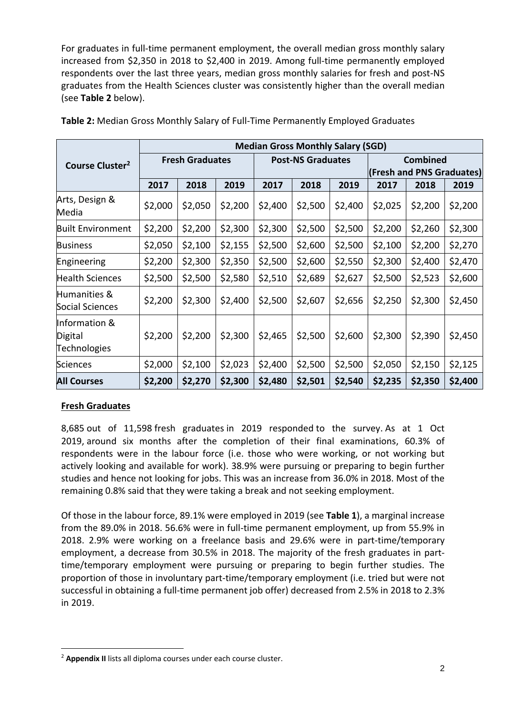For graduates in full-time permanent employment, the overall median gross monthly salary increased from \$2,350 in 2018 to \$2,400 in 2019. Among full-time permanently employed respondents over the last three years, median gross monthly salaries for fresh and post-NS graduates from the Health Sciences cluster was consistently higher than the overall median (see **Table 2** below).

|                                          | <b>Median Gross Monthly Salary (SGD)</b> |         |         |                          |         |         |                           |         |         |
|------------------------------------------|------------------------------------------|---------|---------|--------------------------|---------|---------|---------------------------|---------|---------|
| Course Cluster <sup>2</sup>              | <b>Fresh Graduates</b>                   |         |         | <b>Post-NS Graduates</b> |         |         | <b>Combined</b>           |         |         |
|                                          |                                          |         |         |                          |         |         | (Fresh and PNS Graduates) |         |         |
|                                          | 2017                                     | 2018    | 2019    | 2017                     | 2018    | 2019    | 2017                      | 2018    | 2019    |
| Arts, Design &<br>Media                  | \$2,000                                  | \$2,050 | \$2,200 | \$2,400                  | \$2,500 | \$2,400 | \$2,025                   | \$2,200 | \$2,200 |
| <b>Built Environment</b>                 | \$2,200                                  | \$2,200 | \$2,300 | \$2,300                  | \$2,500 | \$2,500 | \$2,200                   | \$2,260 | \$2,300 |
| <b>Business</b>                          | \$2,050                                  | \$2,100 | \$2,155 | \$2,500                  | \$2,600 | \$2,500 | \$2,100                   | \$2,200 | \$2,270 |
| Engineering                              | \$2,200                                  | \$2,300 | \$2,350 | \$2,500                  | \$2,600 | \$2,550 | \$2,300                   | \$2,400 | \$2,470 |
| <b>Health Sciences</b>                   | \$2,500                                  | \$2,500 | \$2,580 | \$2,510                  | \$2,689 | \$2,627 | \$2,500                   | \$2,523 | \$2,600 |
| Humanities &<br>Social Sciences          | \$2,200                                  | \$2,300 | \$2,400 | \$2,500                  | \$2,607 | \$2,656 | \$2,250                   | \$2,300 | \$2,450 |
| Information &<br>Digital<br>Technologies | \$2,200                                  | \$2,200 | \$2,300 | \$2,465                  | \$2,500 | \$2,600 | \$2,300                   | \$2,390 | \$2,450 |
| <b>Sciences</b>                          | \$2,000                                  | \$2,100 | \$2,023 | \$2,400                  | \$2,500 | \$2,500 | \$2,050                   | \$2,150 | \$2,125 |
| <b>All Courses</b>                       | \$2,200                                  | \$2,270 | \$2,300 | \$2,480                  | \$2,501 | \$2,540 | \$2,235                   | \$2,350 | \$2,400 |

**Table 2:** Median Gross Monthly Salary of Full-Time Permanently Employed Graduates

# **Fresh Graduates**

1

8,685 out of 11,598 fresh graduates in 2019 responded to the survey. As at 1 Oct 2019, around six months after the completion of their final examinations, 60.3% of respondents were in the labour force (i.e. those who were working, or not working but actively looking and available for work). 38.9% were pursuing or preparing to begin further studies and hence not looking for jobs. This was an increase from 36.0% in 2018. Most of the remaining 0.8% said that they were taking a break and not seeking employment.

Of those in the labour force, 89.1% were employed in 2019 (see **Table 1**), a marginal increase from the 89.0% in 2018. 56.6% were in full-time permanent employment, up from 55.9% in 2018. 2.9% were working on a freelance basis and 29.6% were in part-time/temporary employment, a decrease from 30.5% in 2018. The majority of the fresh graduates in parttime/temporary employment were pursuing or preparing to begin further studies. The proportion of those in involuntary part-time/temporary employment (i.e. tried but were not successful in obtaining a full-time permanent job offer) decreased from 2.5% in 2018 to 2.3% in 2019.

<sup>2</sup> **Appendix II** lists all diploma courses under each course cluster.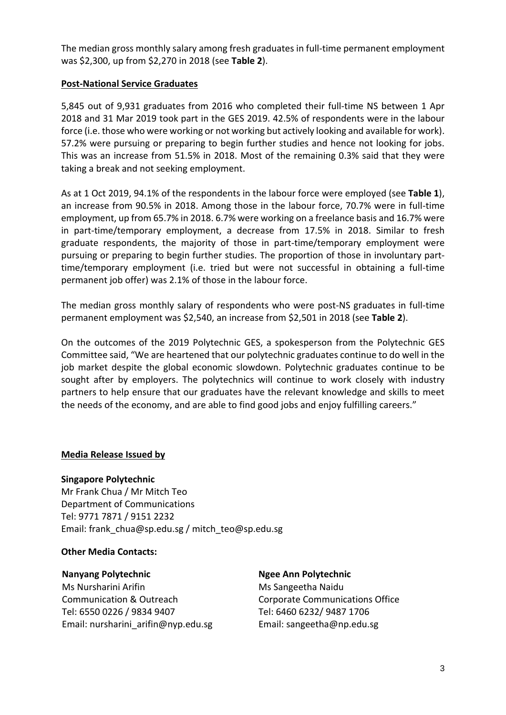The median gross monthly salary among fresh graduates in full-time permanent employment was \$2,300, up from \$2,270 in 2018 (see **Table 2**).

## **Post-National Service Graduates**

5,845 out of 9,931 graduates from 2016 who completed their full-time NS between 1 Apr 2018 and 31 Mar 2019 took part in the GES 2019. 42.5% of respondents were in the labour force (i.e. those who were working or not working but actively looking and available for work). 57.2% were pursuing or preparing to begin further studies and hence not looking for jobs. This was an increase from 51.5% in 2018. Most of the remaining 0.3% said that they were taking a break and not seeking employment.

As at 1 Oct 2019, 94.1% of the respondents in the labour force were employed (see **Table 1**), an increase from 90.5% in 2018. Among those in the labour force, 70.7% were in full-time employment, up from 65.7% in 2018. 6.7% were working on a freelance basis and 16.7% were in part-time/temporary employment, a decrease from 17.5% in 2018. Similar to fresh graduate respondents, the majority of those in part-time/temporary employment were pursuing or preparing to begin further studies. The proportion of those in involuntary parttime/temporary employment (i.e. tried but were not successful in obtaining a full-time permanent job offer) was 2.1% of those in the labour force.

The median gross monthly salary of respondents who were post-NS graduates in full-time permanent employment was \$2,540, an increase from \$2,501 in 2018 (see **Table 2**).

On the outcomes of the 2019 Polytechnic GES, a spokesperson from the Polytechnic GES Committee said, "We are heartened that our polytechnic graduates continue to do well in the job market despite the global economic slowdown. Polytechnic graduates continue to be sought after by employers. The polytechnics will continue to work closely with industry partners to help ensure that our graduates have the relevant knowledge and skills to meet the needs of the economy, and are able to find good jobs and enjoy fulfilling careers."

## **Media Release Issued by**

**Singapore Polytechnic**

Mr Frank Chua / Mr Mitch Teo Department of Communications Tel: 9771 7871 / 9151 2232 Email: frank\_chua@sp.edu.sg / mitch\_teo@sp.edu.sg

### **Other Media Contacts:**

### **Nanyang Polytechnic**

Ms Nursharini Arifin Communication & Outreach Tel: 6550 0226 / 9834 9407 Email: nursharini\_arifin@nyp.edu.sg **Ngee Ann Polytechnic** Ms Sangeetha Naidu Corporate Communications Office Tel: 6460 6232/ 9487 1706 Email: sangeetha@np.edu.sg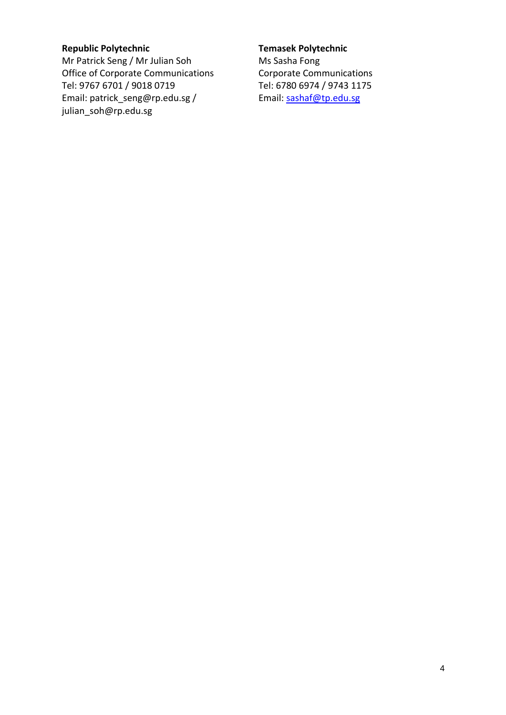# **Republic Polytechnic**

Mr Patrick Seng / Mr Julian Soh Office of Corporate Communications Tel: 9767 6701 / 9018 0719 Email: patrick\_seng@rp.edu.sg / julian\_soh@rp.edu.sg

### **Temasek Polytechnic**

Ms Sasha Fong Corporate Communications Tel: 6780 6974 / 9743 1175 Email: [sashaf@tp.edu.sg](mailto:sashaf@tp.edu.sg)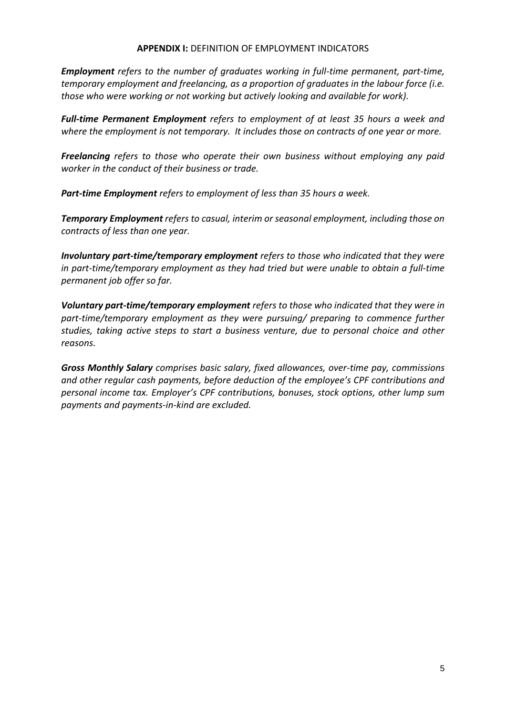#### **APPENDIX I:** DEFINITION OF EMPLOYMENT INDICATORS

*Employment refers to the number of graduates working in full-time permanent, part-time, temporary employment and freelancing, as a proportion of graduates in the labour force (i.e. those who were working or not working but actively looking and available for work).*

*Full-time Permanent Employment refers to employment of at least 35 hours a week and where the employment is not temporary. It includes those on contracts of one year or more.*

*Freelancing refers to those who operate their own business without employing any paid worker in the conduct of their business or trade.*

*Part-time Employment refers to employment of less than 35 hours a week.* 

*Temporary Employment refers to casual, interim or seasonal employment, including those on contracts of less than one year.*

*Involuntary part-time/temporary employment refers to those who indicated that they were in part-time/temporary employment as they had tried but were unable to obtain a full-time permanent job offer so far.*

*Voluntary part-time/temporary employment refers to those who indicated that they were in part-time/temporary employment as they were pursuing/ preparing to commence further studies, taking active steps to start a business venture, due to personal choice and other reasons.*

*Gross Monthly Salary comprises basic salary, fixed allowances, over-time pay, commissions and other regular cash payments, before deduction of the employee's CPF contributions and personal income tax. Employer's CPF contributions, bonuses, stock options, other lump sum payments and payments-in-kind are excluded.*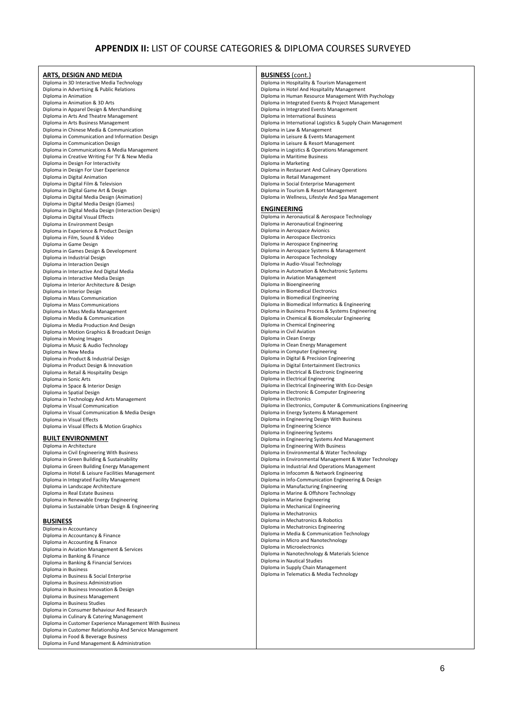#### **APPENDIX II:** LIST OF COURSE CATEGORIES & DIPLOMA COURSES SURVEYED

| ARTS, DESIGN AND MEDIA                                                          | <b>BUSINESS</b> (cont.)                                                                     |  |  |  |  |  |
|---------------------------------------------------------------------------------|---------------------------------------------------------------------------------------------|--|--|--|--|--|
| Diploma in 3D Interactive Media Technology                                      | Diploma in Hospitality & Tourism Management                                                 |  |  |  |  |  |
| Diploma in Advertising & Public Relations                                       | Diploma in Hotel And Hospitality Management                                                 |  |  |  |  |  |
| Diploma in Animation                                                            | Diploma in Human Resource Management With Psychology                                        |  |  |  |  |  |
| Diploma in Animation & 3D Arts                                                  | Diploma in Integrated Events & Project Management                                           |  |  |  |  |  |
| Diploma in Apparel Design & Merchandising                                       | Diploma in Integrated Events Management                                                     |  |  |  |  |  |
| Diploma in Arts And Theatre Management                                          | Diploma in International Business                                                           |  |  |  |  |  |
| Diploma in Arts Business Management<br>Diploma in Chinese Media & Communication | Diploma in International Logistics & Supply Chain Management<br>Diploma in Law & Management |  |  |  |  |  |
| Diploma in Communication and Information Design                                 | Diploma in Leisure & Events Management                                                      |  |  |  |  |  |
| Diploma in Communication Design                                                 | Diploma in Leisure & Resort Management                                                      |  |  |  |  |  |
| Diploma in Communications & Media Management                                    | Diploma in Logistics & Operations Management                                                |  |  |  |  |  |
| Diploma in Creative Writing For TV & New Media                                  | Diploma in Maritime Business                                                                |  |  |  |  |  |
| Diploma in Design For Interactivity                                             | Diploma in Marketing                                                                        |  |  |  |  |  |
| Diploma in Design For User Experience                                           | Diploma in Restaurant And Culinary Operations                                               |  |  |  |  |  |
| Diploma in Digital Animation                                                    | Diploma in Retail Management                                                                |  |  |  |  |  |
| Diploma in Digital Film & Television                                            | Diploma in Social Enterprise Management                                                     |  |  |  |  |  |
| Diploma in Digital Game Art & Design                                            | Diploma in Tourism & Resort Management                                                      |  |  |  |  |  |
| Diploma in Digital Media Design (Animation)                                     | Diploma in Wellness, Lifestyle And Spa Management                                           |  |  |  |  |  |
| Diploma in Digital Media Design (Games)                                         |                                                                                             |  |  |  |  |  |
| Diploma in Digital Media Design (Interaction Design)                            | <b>ENGINEERING</b>                                                                          |  |  |  |  |  |
| Diploma in Digital Visual Effects                                               | Diploma in Aeronautical & Aerospace Technology                                              |  |  |  |  |  |
| Diploma in Environment Design                                                   | Diploma in Aeronautical Engineering                                                         |  |  |  |  |  |
| Diploma in Experience & Product Design                                          | Diploma in Aerospace Avionics                                                               |  |  |  |  |  |
| Diploma in Film, Sound & Video                                                  | Diploma in Aerospace Electronics                                                            |  |  |  |  |  |
| Diploma in Game Design<br>Diploma in Games Design & Development                 | Diploma in Aerospace Engineering<br>Diploma in Aerospace Systems & Management               |  |  |  |  |  |
| Diploma in Industrial Design                                                    | Diploma in Aerospace Technology                                                             |  |  |  |  |  |
| Diploma in Interaction Design                                                   | Diploma in Audio-Visual Technology                                                          |  |  |  |  |  |
| Diploma in Interactive And Digital Media                                        | Diploma in Automation & Mechatronic Systems                                                 |  |  |  |  |  |
| Diploma in Interactive Media Design                                             | Diploma in Aviation Management                                                              |  |  |  |  |  |
| Diploma in Interior Architecture & Design                                       | Diploma in Bioengineering                                                                   |  |  |  |  |  |
| Diploma in Interior Design                                                      | Diploma in Biomedical Electronics                                                           |  |  |  |  |  |
| Diploma in Mass Communication                                                   | Diploma in Biomedical Engineering                                                           |  |  |  |  |  |
| Diploma in Mass Communications                                                  | Diploma in Biomedical Informatics & Engineering                                             |  |  |  |  |  |
| Diploma in Mass Media Management                                                | Diploma in Business Process & Systems Engineering                                           |  |  |  |  |  |
| Diploma in Media & Communication                                                | Diploma in Chemical & Biomolecular Engineering                                              |  |  |  |  |  |
| Diploma in Media Production And Design                                          | Diploma in Chemical Engineering                                                             |  |  |  |  |  |
| Diploma in Motion Graphics & Broadcast Design                                   | Diploma in Civil Aviation                                                                   |  |  |  |  |  |
| Diploma in Moving Images                                                        | Diploma in Clean Energy                                                                     |  |  |  |  |  |
| Diploma in Music & Audio Technology                                             | Diploma in Clean Energy Management                                                          |  |  |  |  |  |
| Diploma in New Media                                                            | Diploma in Computer Engineering                                                             |  |  |  |  |  |
| Diploma in Product & Industrial Design                                          | Diploma in Digital & Precision Engineering                                                  |  |  |  |  |  |
| Diploma in Product Design & Innovation                                          | Diploma in Digital Entertainment Electronics                                                |  |  |  |  |  |
| Diploma in Retail & Hospitality Design                                          | Diploma in Electrical & Electronic Engineering                                              |  |  |  |  |  |
| Diploma in Sonic Arts                                                           | Diploma in Electrical Engineering<br>Diploma in Electrical Engineering With Eco-Design      |  |  |  |  |  |
| Diploma in Space & Interior Design<br>Diploma in Spatial Design                 | Diploma in Electronic & Computer Engineering                                                |  |  |  |  |  |
| Diploma in Technology And Arts Management                                       | Diploma in Electronics                                                                      |  |  |  |  |  |
| Diploma in Visual Communication                                                 | Diploma in Electronics, Computer & Communications Engineering                               |  |  |  |  |  |
| Diploma in Visual Communication & Media Design                                  | Diploma in Energy Systems & Management                                                      |  |  |  |  |  |
| Diploma in Visual Effects                                                       | Diploma in Engineering Design With Business                                                 |  |  |  |  |  |
| Diploma in Visual Effects & Motion Graphics                                     | Diploma in Engineering Science                                                              |  |  |  |  |  |
|                                                                                 | Diploma in Engineering Systems                                                              |  |  |  |  |  |
| <b>BUILT ENVIRONMENT</b>                                                        | Diploma in Engineering Systems And Management                                               |  |  |  |  |  |
| Diploma in Architecture                                                         | Diploma in Engineering With Business                                                        |  |  |  |  |  |
| Diploma in Civil Engineering With Business                                      | Diploma in Environmental & Water Technology                                                 |  |  |  |  |  |
| Diploma in Green Building & Sustainability                                      | Diploma in Environmental Management & Water Technology                                      |  |  |  |  |  |
| Diploma in Green Building Energy Management                                     | Diploma in Industrial And Operations Management                                             |  |  |  |  |  |
| Diploma in Hotel & Leisure Facilities Management                                | Diploma in Infocomm & Network Engineering                                                   |  |  |  |  |  |
| Diploma in Integrated Facility Management                                       | Diploma in Info-Communication Engineering & Design                                          |  |  |  |  |  |
| Diploma in Landscape Architecture                                               | Diploma in Manufacturing Engineering                                                        |  |  |  |  |  |
| Diploma in Real Estate Business                                                 | Diploma in Marine & Offshore Technology                                                     |  |  |  |  |  |
| Diploma in Renewable Energy Engineering                                         | Diploma in Marine Engineering<br>Diploma in Mechanical Engineering                          |  |  |  |  |  |
| Diploma in Sustainable Urban Design & Engineering                               | Diploma in Mechatronics                                                                     |  |  |  |  |  |
|                                                                                 |                                                                                             |  |  |  |  |  |

Diploma in Mechatronics & Robotics

Diploma in Mechatronics Engineering Diploma in Media & Communication Technology Diploma in Micro and Nanotechnology Diploma in Microelectronics

Diploma in Nanotechnology & Materials Science Diploma in Nautical Studies Diploma in Supply Chain Management Diploma in Telematics & Media Technology

# **BUSINESS**

| Diploma in Accountancy                                  |
|---------------------------------------------------------|
| Diploma in Accountancy & Finance                        |
| Diploma in Accounting & Finance                         |
| Diploma in Aviation Management & Services               |
| Diploma in Banking & Finance                            |
| Diploma in Banking & Financial Services                 |
| Diploma in Business                                     |
| Diploma in Business & Social Enterprise                 |
| Diploma in Business Administration                      |
| Diploma in Business Innovation & Design                 |
| Diploma in Business Management                          |
| Diploma in Business Studies                             |
| Diploma in Consumer Behaviour And Research              |
| Diploma in Culinary & Catering Management               |
| Diploma in Customer Experience Management With Business |
| Diploma in Customer Relationship And Service Management |
| Diploma in Food & Beverage Business                     |
| Diploma in Fund Management & Administration             |